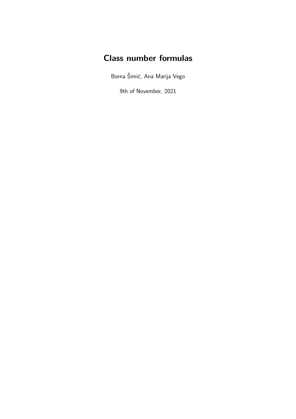# **Class number formulas**

Borna Šimić, Ana Marija Vego

9th of November, 2021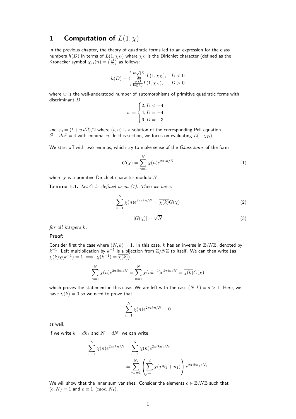# **1 Computation of**  $L(1, \chi)$

In the previous chapter, the theory of quadratic forms led to an expression for the class numbers  $h(D)$  in terms of  $L(1, \chi_D)$  where  $\chi_D$  is the Dirichlet character (defined as the Kronecker symbol  $\chi_D(n)=\left(\frac{D}{n}\right)$  as follows:

$$
h(D) = \begin{cases} \frac{w\sqrt{|D|}}{2\pi}L(1,\chi_D), & D < 0\\ \frac{\sqrt{D}}{\log \varepsilon_0}L(1,\chi_D), & D > 0 \end{cases}
$$

where  $w$  is the well-understood number of automorphisms of primitive quadratic forms with discriminant D

$$
w = \begin{cases} 2, D < -4 \\ 4, D = -4 \\ 6, D = -3 \end{cases}
$$

and  $\varepsilon_0 = (t + u)$ √  $\langle d \rangle /2$  where  $(t,u)$  is a solution of the corresponding Pell equation  $t^2-du^2=4$  with minimal  $u.$  In this section, we focus on evaluating  $L(1,\chi_D).$ 

We start off with two lemmas, which try to make sense of the Gauss sums of the form

$$
G(\chi) = \sum_{n=1}^{N} \chi(n)e^{2\pi i n/N}
$$
\n(1)

where  $\chi$  is a primitive Dirichlet character modulo N.

**Lemma 1.1.** Let  $G$  be defined as in  $(1)$ . Then we have:

$$
\sum_{n=1}^{N} \chi(n) e^{2\pi i k n/N} = \overline{\chi(k)} G(\chi)
$$
 (2)

$$
|G(\chi)| = \sqrt{N} \tag{3}
$$

for all integers k.

#### **Proof:**

Consider first the case where  $(N, k) = 1$ . In this case, k has an inverse in  $\mathbb{Z}/N\mathbb{Z}$ , denoted by  $k^{-1}.$  Left multiplication by  $k^{-1}$  is a bijection from  ${\mathbb Z}/N{\mathbb Z}$  to itself. We can then write (as  $\chi(k)\chi(k^{-1})=1 \implies \chi(k^{-1})=\overline{\chi(k)}$ 

$$
\sum_{n=1}^{N} \chi(n) e^{2\pi i k n/N} = \sum_{n=1}^{N} \chi(nk^{-1}) e^{2\pi i n/N} = \overline{\chi(k)} G(\chi)
$$

which proves the statement in this case. We are left with the case  $(N, k) = d > 1$ . Here, we have  $\chi(k) = 0$  so we need to prove that

$$
\sum_{n=1}^{N} \chi(n) e^{2\pi i k n/N} = 0
$$

as well.

If we write  $k = d k_1$  and  $N = d N_1$  we can write

$$
\sum_{n=1}^{N} \chi(n) e^{2\pi i k n/N} = \sum_{n=1}^{N} \chi(n) e^{2\pi i k n_1/N_1}
$$

$$
= \sum_{n=1}^{N_1} \left( \sum_{j=1}^{d} \chi(jN_1 + n_1) \right) e^{2\pi i k n_1/N_1}
$$

We will show that the inner sum vanishes. Consider the elements  $c \in \mathbb{Z}/N\mathbb{Z}$  such that  $(c, N) = 1$  and  $c \equiv 1 \pmod{N_1}$ .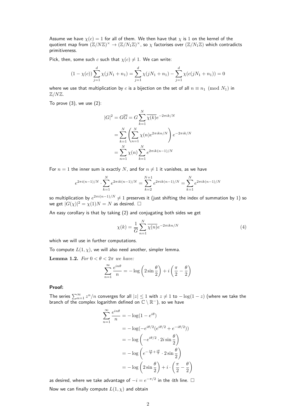Assume we have  $\chi(c) = 1$  for all of them. We then have that  $\chi$  is 1 on the kernel of the quotient map from  $(\Z/N\Z)^\times \to (\Z/N_1\Z)^\times$ , so  $\chi$  factorises over  $(\Z/N_1\Z)$  which contradicts primitiveness.

Pick, then, some such c such that  $\chi(c) \neq 1$ . We can write:

$$
(1 - \chi(c))\sum_{j=1}^{d} \chi(jN_1 + n_1) = \sum_{j=1}^{d} \chi(jN_1 + n_1) - \sum_{j=1}^{d} \chi(c(jN_1 + n_1)) = 0
$$

where we use that multiplication by c is a bijection on the set of all  $n \equiv n_1 \pmod{N_1}$  in  $\mathbb{Z}/N\mathbb{Z}$ .

To prove  $(3)$ , we use  $(2)$ :

$$
|G|^2 = G\overline{G} = G \sum_{k=1}^{N} \overline{\chi(k)} e^{-2\pi i k/N}
$$
  
= 
$$
\sum_{k=1}^{N} \left( \sum_{n=1}^{N} \chi(n) e^{2\pi i k n/N} \right) e^{-2\pi i k/N}
$$
  
= 
$$
\sum_{n=1}^{N} \chi(n) \sum_{k=1}^{N} e^{2\pi i k (n-1)/N}
$$

For  $n = 1$  the inner sum is exactly N, and for  $n \neq 1$  it vanishes, as we have

$$
e^{2\pi i(n-1)/N} \cdot \sum_{k=1}^{N} e^{2\pi i k(n-1)/N} = \sum_{k=2}^{N+1} e^{2\pi i k(n-1)/N} = \sum_{k=1}^{N} e^{2\pi i k(n-1)/N}
$$

so multiplication by  $e^{2\pi i(n-1)/N}\neq 1$  preserves it (just shifting the index of summation by 1) so we get  $|G(\chi)|^2 = \chi(1)N = N$  as desired.  $\square$ 

An easy corollary is that by taking (2) and conjugating both sides we get

$$
\chi(k) = \frac{1}{\overline{G}} \sum_{n=1}^{N} \overline{\chi(n)} e^{-2\pi i k n/N}
$$
\n(4)

which we will use in further computations.

To compute  $L(1, \chi)$ , we will also need another, simpler lemma.

Lemma 1.2. For  $0 < \theta < 2\pi$  we have:

$$
\sum_{n=1}^{\infty} \frac{e^{in\theta}}{n} = -\log\left(2\sin\frac{\theta}{2}\right) + i\left(\frac{\pi}{2} - \frac{\theta}{2}\right)
$$

#### **Proof:**

The series  $\sum_{n=1}^{\infty} z^n/n$  converges for all  $|z| \leq 1$  with  $z \neq 1$  to  $-\log(1-z)$  (where we take the branch of the complex logarithm defined on  $\mathbb{C} \setminus \mathbb{R}^-$ ), so we have

$$
\sum_{n=1}^{\infty} \frac{e^{in\theta}}{n} = -\log(1 - e^{i\theta})
$$
  
=  $-\log(-e^{i\theta/2}(e^{i\theta/2} + e^{-i\theta/2}))$   
=  $-\log(-e^{i\theta/2} \cdot 2i\sin{\frac{\theta}{2}})$   
=  $-\log(e^{-\frac{i\pi}{2} + \frac{i\theta}{2}} \cdot 2\sin{\frac{\theta}{2}})$   
=  $-\log(2\sin{\frac{\theta}{2}}) + i \cdot (\frac{\pi}{2} - \frac{\theta}{2})$ 

as desired, where we take advantage of  $-i = e^{-\pi/2}$  in the 4th line.  $□$ Now we can finally compute  $L(1, \chi)$  and obtain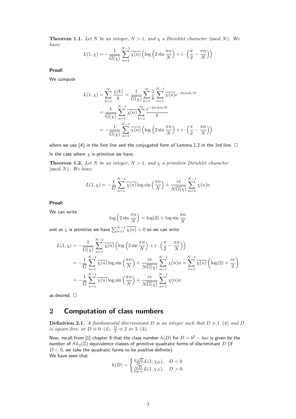**Theorem 1.1.** Let N be an integer,  $N > 1$ , and  $\chi$  a Dirichlet character (mod N). We have:

$$
L(1, \chi) = -\frac{1}{\overline{G(\chi)}} \sum_{n=1}^{N-1} \overline{\chi(n)} \left( \log \left( 2 \sin \frac{\pi n}{N} \right) + i \cdot \left( \frac{\pi}{2} - \frac{\pi n}{N} \right) \right)
$$

**Proof:**

We compute

$$
L(1,\chi) = \sum_{k=1}^{\infty} \frac{\chi(k)}{k} = \frac{1}{\overline{G(\chi)}} \sum_{k=1}^{\infty} \frac{1}{k} \sum_{n=1}^{N-1} \overline{\chi(n)} e^{-2\pi i n k/N}
$$
  
= 
$$
\frac{1}{\overline{G(\chi)}} \sum_{n=1}^{N-1} \frac{1}{\overline{\chi(n)}} \sum_{k=1}^{\infty} \frac{e^{-2\pi i k n/N}}{k}
$$
  
= 
$$
-\frac{1}{\overline{G(\chi)}} \sum_{n=1}^{N-1} \overline{\chi(n)} \left( \log \left( 2 \sin \frac{\pi n}{N} \right) + i \cdot \left( \frac{\pi}{2} - \frac{\pi n}{N} \right) \right)
$$

where we use (4) in the first line and the conjugated form of Lemma 1.2 in the 3rd line.  $\Box$ 

In the case where  $\chi$  is primitive we have:

**Theorem 1.2.** Let N be an integer,  $N > 1$ , and  $\chi$  a primitive Dirichlet character  $(mod N)$ . We have:

$$
L(1, \chi) = -\frac{1}{\overline{G}} \sum_{n=1}^{N-1} \overline{\chi(n)} \log \sin\left(\frac{\pi n}{N}\right) + \frac{i\pi}{N\overline{G(\chi)}} \sum_{n=1}^{N-1} \chi(n)n
$$

**Proof:**

We can write

$$
\log\left(2\sin\frac{\pi n}{N}\right) = \log(2) + \log\sin\frac{\pi n}{N}
$$

and as  $\chi$  is primitive we have  $\sum_{n=1}^{N-1} \overline{\chi(n)}=0$  so we can write

$$
L(1,\chi) = -\frac{1}{\overline{G(\chi)}} \sum_{n=1}^{N-1} \overline{\chi(n)} \left( \log \left( 2 \sin \frac{\pi n}{N} \right) + i \cdot \left( \frac{\pi}{2} - \frac{\pi n}{N} \right) \right)
$$
  
= 
$$
-\frac{1}{\overline{G}} \sum_{n=1}^{N-1} \overline{\chi(n)} \log \sin \left( \frac{\pi n}{N} \right) + \frac{i\pi}{N \overline{G(\chi)}} \sum_{n=1}^{N-1} \chi(n) n + \sum_{n=1}^{N-1} \overline{\chi(n)} \left( \log(2) + \frac{i\pi}{2} \right)
$$
  
= 
$$
-\frac{1}{\overline{G}} \sum_{n=1}^{N-1} \overline{\chi(n)} \log \sin \left( \frac{\pi n}{N} \right) + \frac{i\pi}{N \overline{G(\chi)}} \sum_{n=1}^{N-1} \chi(n) n
$$

as desired. □

## 2 **Computation of class numbers**

**Definition 2.1.** A fundamental discriminant D is an integer such that  $D \equiv 1$  (4) and D is square-free, or  $D \equiv 0$  (4),  $\frac{D}{4} \equiv 2$  or 3 (4).

Now, recall from [1] chapter 8 that the class number  $h(D)$  for  $D = b^2 - 4ac$  is given by the number of  $SL_2(\mathbb{Z})$  equivalence classes of primitive quadratic forms of discriminant D (if  $D < 0$ , we take the quadratic forms to be positive-definite). We have seen that √

$$
h(D) = \begin{cases} \frac{w\sqrt{D}}{2\pi}L(1,\chi_D), & D < 0\\ \frac{\sqrt{D}}{\log \epsilon_0}L(1,\chi_D), & D > 0. \end{cases}
$$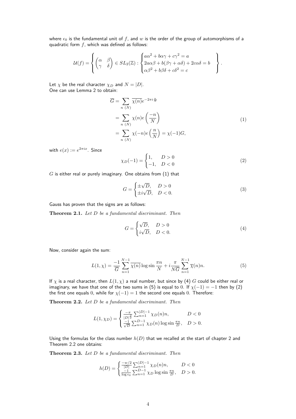where  $\epsilon_0$  is the fundamental unit of f, and w is the order of the group of automorphisms of a quadratic form  $f$ , which was defined as follows:

$$
\mathcal{U}(f) = \left\{ \begin{pmatrix} \alpha & \beta \\ \gamma & \delta \end{pmatrix} \in SL_2(\mathbb{Z}) : \begin{cases} a\alpha^2 + b\alpha\gamma + c\gamma^2 = a \\ 2a\alpha\beta + b(\beta\gamma + \alpha\delta) + 2c\alpha\delta = b \\ \alpha\beta^2 + b\beta\delta + c\delta^2 = c \end{cases} \right\}
$$

Let  $\chi$  be the real character  $\chi_D$  and  $N = |D|$ . One can use Lemma 2 to obtain:

$$
\overline{G} = \sum_{n} \overline{\chi(n)} e^{-2\pi i \frac{n}{N}}
$$
  
= 
$$
\sum_{n} \chi(n) e\left(\frac{-n}{N}\right)
$$
  
= 
$$
\sum_{n} \chi(-n) e\left(\frac{n}{N}\right) = \chi(-1) G,
$$
 (1)

.

with  $e(x):=e^{2\pi ix}$ . Since

$$
\chi_D(-1) = \begin{cases} 1, & D > 0 \\ -1, & D < 0 \end{cases}
$$
 (2)

 $G$  is either real or purely imaginary. One obtains from  $(1)$  that

$$
G = \begin{cases} \pm \sqrt{D}, & D > 0\\ \pm i\sqrt{D}, & D < 0. \end{cases}
$$
 (3)

Gauss has proven that the signs are as follows:

Theorem 2.1. Let D be a fundamental discriminant. Then

$$
G = \begin{cases} \sqrt{D}, & D > 0\\ i\sqrt{D}, & D < 0. \end{cases}
$$
 (4)

Now, consider again the sum:

$$
L(1,\chi) = \frac{-1}{\overline{G}} \sum_{n=1}^{N-1} \overline{\chi(n)} \log \sin \frac{\pi n}{N} + i \frac{\pi}{N\overline{G}} \sum_{n=1}^{N-1} \overline{\chi}(n)n.
$$
 (5)

If  $\chi$  is a real character, then  $L(1,\chi)$  a real number, but since by (4) G could be either real or imaginary, we have that one of the two sums in (5) is equal to 0. If  $\chi(-1) = -1$  then by (2) the first one equals 0, while for  $\chi(-1) = 1$  the second one equals 0. Therefore:

Theorem 2.2. Let D be a fundamental discriminant. Then

$$
L(1, \chi_D) = \begin{cases} \frac{-\pi}{|D|^{\frac{3}{2}}} \sum_{n=1}^{|D|-1} \chi_D(n)n, & D < 0\\ \frac{-1}{\sqrt{D}} \sum_{n=1}^{D-1} \chi_D(n) \log \sin \frac{\pi n}{D}, & D > 0. \end{cases}
$$

Using the formulas for the class number  $h(D)$  that we recalled at the start of chapter 2 and Theorem 2.2 one obtains:

Theorem 2.3. Let D be a fundamental discriminant. Then

$$
h(D) = \begin{cases} \frac{-w/2}{|D|} \sum_{n=1}^{|D|-1} \chi_D(n)n, & D < 0\\ \frac{-1}{\log \epsilon_0} \sum_{n=1}^{D-1} \chi_D \log \sin \frac{\pi n}{D}, & D > 0. \end{cases}
$$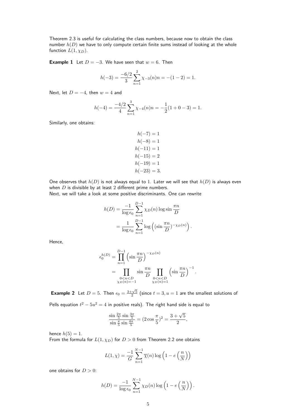Theorem 2.3 is useful for calculating the class numbers, because now to obtain the class number  $h(D)$  we have to only compute certain finite sums instead of looking at the whole function  $L(1, \chi_D)$ .

**Example 1** Let  $D = -3$ . We have seen that  $w = 6$ . Then

$$
h(-3) = \frac{-6/2}{3} \sum_{n=1}^{2} \chi_{-3}(n)n = -(1-2) = 1.
$$

Next, let  $D = -4$ , then  $w = 4$  and

$$
h(-4) = \frac{-4/2}{4} \sum_{n=1}^{3} \chi_{-4}(n)n = -\frac{1}{2}(1+0-3) = 1.
$$

Similarly, one obtains:

$$
h(-7) = 1
$$

$$
h(-8) = 1
$$

$$
h(-11) = 1
$$

$$
h(-15) = 2
$$

$$
h(-19) = 1
$$

$$
h(-23) = 3.
$$

One observes that  $h(D)$  is not always equal to 1. Later we will see that  $h(D)$  is always even when  $D$  is divisible by at least  $2$  different prime numbers.

Next, we will take a look at some positive discriminants. One can rewrite

$$
h(D) = \frac{-1}{\log \epsilon_0} \sum_{n=1}^{D-1} \chi_D(n) \log \sin \frac{\pi n}{D}
$$
  
= 
$$
\frac{1}{\log \epsilon_0} \sum_{n=1}^{D-1} \log \left( (\sin \frac{\pi n}{D})^{-\chi_D(n)} \right).
$$

Hence,

$$
\epsilon_0^{h(D)} = \prod_{n=1}^{D-1} \left(\sin \frac{\pi n}{D}\right)^{-\chi_D(n)}
$$
  
= 
$$
\prod_{\substack{0 < n < D \\ \chi_D(n) = -1}} \sin \frac{\pi n}{D} \prod_{\substack{0 < n < D \\ \chi_D(n) = 1}} \left(\sin \frac{\pi n}{D}\right)^{-1}.
$$

**Example 2** Let  $D = 5$ . Then  $\epsilon_0 = \frac{3+\sqrt{5}}{2}$  (since  $t = 3, u = 1$  are the smallest solutions of Pells equation  $t^2 - 5u^2 = 4$  in positive reals). The right hand side is equal to

$$
\frac{\sin\frac{2\pi}{5}\sin\frac{3\pi}{5}}{\sin\frac{\pi}{5}\sin\frac{4\pi}{5}} = (2\cos\frac{\pi}{5})^2 = \frac{3+\sqrt{5}}{2},
$$

hence  $h(5) = 1$ .

From the formula for  $L(1, \chi_D)$  for  $D > 0$  from Theorem 2.2 one obtains

$$
L(1, \chi) = \frac{-1}{G} \sum_{n=1}^{N-1} \overline{\chi}(n) \log \left( 1 - e\left(\frac{n}{N}\right) \right)
$$

one obtains for  $D > 0$ :

$$
h(D) = \frac{-1}{\log \epsilon_0} \sum_{n=1}^{N-1} \chi_D(n) \log \left( 1 - e\left(\frac{n}{N}\right) \right).
$$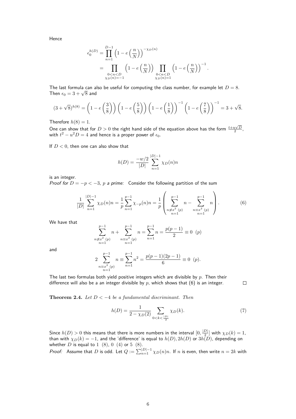Hence

$$
\epsilon_0^{h(D)} = \prod_{n=1}^{D-1} \left( 1 - e\left(\frac{n}{N}\right) \right)^{-\chi_D(n)} \n= \prod_{\substack{0 < n < D \\ \chi_D(n) = -1}} \left( 1 - e\left(\frac{n}{N}\right) \right) \prod_{\substack{0 < n < D \\ \chi_D(n) = 1}} \left( 1 - e\left(\frac{n}{N}\right) \right)^{-1}.
$$

The last formula can also be useful for computing the class number, for example let  $D = 8$ . Then  $\epsilon_0 = 3 + \sqrt{8}$  and

$$
(3+\sqrt{8})^{h(8)} = \left(1-e\left(\frac{3}{8}\right)\right)\left(1-e\left(\frac{5}{8}\right)\right)\left(1-e\left(\frac{1}{8}\right)\right)^{-1}\left(1-e\left(\frac{7}{8}\right)\right)^{-1} = 3+\sqrt{8}.
$$

Therefore  $h(8) = 1$ .

One can show that for  $D > 0$  the right hand side of the equation above has the form  $\frac{t + u\sqrt{D}}{2}$ , with  $t^2-u^2D=4$  and hence is a proper power of  $\epsilon_0.$ 

If  $D < 0$ , then one can also show that

$$
h(D) = \frac{-w/2}{|D|} \sum_{n=1}^{|D|-1} \chi_D(n)n
$$

is an integer.

Proof for  $D = -p < -3$ , p a prime: Consider the following partition of the sum

$$
\frac{1}{|D|} \sum_{n=1}^{|D|-1} \chi_D(n)n = \frac{1}{p} \sum_{n=1}^{p-1} \chi_{-p}(n)n = \frac{1}{p} \left( \sum_{\substack{n \neq x^2(p) \\ n \equiv 1}}^{p-1} n - \sum_{\substack{n=x^2(p) \\ n \equiv 1}}^{p-1} n \right).
$$
 (6)

We have that

$$
\sum_{\substack{n \neq x^2(p) \\ n=1}}^{p-1} n + \sum_{\substack{n \equiv x^2(p) \\ n=1}}^{p-1} n = \sum_{n=1}^{p-1} n = \frac{p(p-1)}{2} \equiv 0 \ \ (p)
$$

and

$$
2\sum_{\substack{n\equiv x^2(p)\\n=1}}^{p-1} n \equiv \sum_{n=1}^{p-1} n^2 = \frac{p(p-1)(2p-1)}{6} \equiv 0 \ \ (p).
$$

The last two formulas both yield positive integers which are divisible by  $p$ . Then their difference will also be a an integer divisible by  $p$ , which shows that  $(6)$  is an integer.

Theorem 2.4. Let  $D < -4$  be a fundamental discriminant. Then

$$
h(D) = \frac{1}{2 - \chi_D(2)} \sum_{0 < k < \frac{|D|}{2}} \chi_D(k). \tag{7}
$$

 $\Box$ 

Since  $h(D) > 0$  this means that there is more numbers in the interval  $[0, \frac{|D|}{2}]$  $\frac{D|}{2}$  with  $\chi_D(k)=1$ , than with  $\chi_D(k)=-1$ , and the 'difference' is equal to  $h(D), 2h(D)$  or  $3h(D)$ , depending on whether  $D$  is equal to  $1\,$   $(8),\,0\,$   $(4)$  or  $5\,$   $(8).$ 

*Proof:* Assume that D is odd. Let  $Q := \sum_{n=1}^{|D|-1} \chi_D(n)n$ . If  $n$  is even, then write  $n = 2k$  with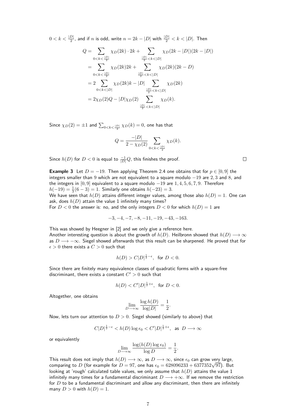$0 < k < \frac{|D|}{2}$ , and if  $n$  is odd, write  $n = 2k - |D|$  with  $\frac{|D|}{2} < k < |D|.$  Then

$$
Q = \sum_{0 < k < \frac{|D|}{2}} \chi_D(2k) \cdot 2k + \sum_{\frac{|D|}{2} < k < |D|} \chi_D(2k - |D|)(2k - |D|)
$$
\n
$$
= \sum_{0 < k < \frac{|D|}{2}} \chi_D(2k)2k + \sum_{\frac{|D|}{2} < k < |D|} \chi_D(2k)(2k - D)
$$
\n
$$
= 2 \sum_{0 < k < |D|} \chi_D(2k)k - |D| \sum_{\frac{|D|}{2} < k < |D|} \chi_D(2k)
$$
\n
$$
= 2\chi_D(2)Q - |D|\chi_D(2) \sum_{\frac{|D|}{2} < k < |D|} \chi_D(k).
$$

Since  $\chi_D(2)=\pm 1$  and  $\sum_{0 < k < \frac{|D|}{2}} \chi_D(k)=0,$  one has that

$$
Q = \frac{-|D|}{2 - \chi_D(2)} \sum_{0 < k < \frac{|D|}{2}} \chi_D(k).
$$

Since  $h(D)$  for  $D < 0$  is equal to  $\frac{-1}{|D|}Q$ , this finishes the proof.

**Example 3** Let  $D = -19$ . Then applying Theorem 2.4 one obtains that for  $p \in [0, 9]$  the integers smaller than 9 which are not equivalent to a square modulo  $-19$  are 2, 3 and 8, and the integers in [0, 9] equivalent to a square modulo  $-19$  are  $1, 4, 5, 6, 7, 9$ . Therefore  $h(-19) = \frac{1}{3}(6-3) = 1$ . Similarly one obtains  $h(-23) = 3$ .

We have seen that  $h(D)$  attains different integer values, among those also  $h(D) = 1$ . One can ask, does  $h(D)$  attain the value 1 infinitely many times?

For  $D < 0$  the answer is: no, and the only integers  $D < 0$  for which  $h(D) = 1$  are

$$
-3, -4, -7, -8, -11, -19, -43, -163.
$$

This was showed by Heegner in [2] and we only give a reference here. Another interesting question is about the growth of  $h(D)$ . Heilbronn showed that  $h(D) \longrightarrow \infty$ as  $D \longrightarrow -\infty$ . Siegel showed afterwards that this result can be sharpened. He proved that for  $\epsilon > 0$  there exists a  $C > 0$  such that

$$
h(D) > C|D|^{\frac{1}{2}-\epsilon}, \text{ for } D < 0.
$$

Since there are finitely many equivalence classes of quadratic forms with a square-free discriminant, there exists a constant  $C^\prime > 0$  such that

$$
h(D) < C'|D|^{\frac{1}{2}+\epsilon}, \ \text{ for } D < 0.
$$

Altogether, one obtains

$$
\lim_{D \to \infty} \frac{\log h(D)}{\log |D|} = \frac{1}{2}
$$

.

Now, lets turn our attention to  $D > 0$ . Siegel showed (similarly to above) that

$$
C|D|^{\frac{1}{2}-\epsilon} < h(D)\log \epsilon_0 < C'|D|^{\frac{1}{2}+\epsilon}, \text{ as } D \longrightarrow \infty
$$

or equivalently

$$
\lim_{D \to \infty} \frac{\log(h(D) \log \epsilon_0)}{\log D} = \frac{1}{2}.
$$

This result does not imply that  $h(D) \longrightarrow \infty$ , as  $D \longrightarrow \infty$ , since  $\epsilon_0$  can grow very large, This result does not imply that  $n(D) \longrightarrow \infty$ , as  $D \longrightarrow \infty$ , since  $\epsilon_0$  can grow very large,<br>comparing to D (for example for  $D = 97$ , one has  $\epsilon_0 = 628096233 + 6377352\sqrt{97}$ ). But looking at 'rough' calculated table values, we only assume that  $h(D)$  attains the value 1 infinitely many times for a fundamental discriminant  $D \longrightarrow +\infty$ . If we remove the restriction for  $D$  to be a fundamental discriminant and allow any discriminant, then there are infinitely many  $D > 0$  with  $h(D) = 1$ .